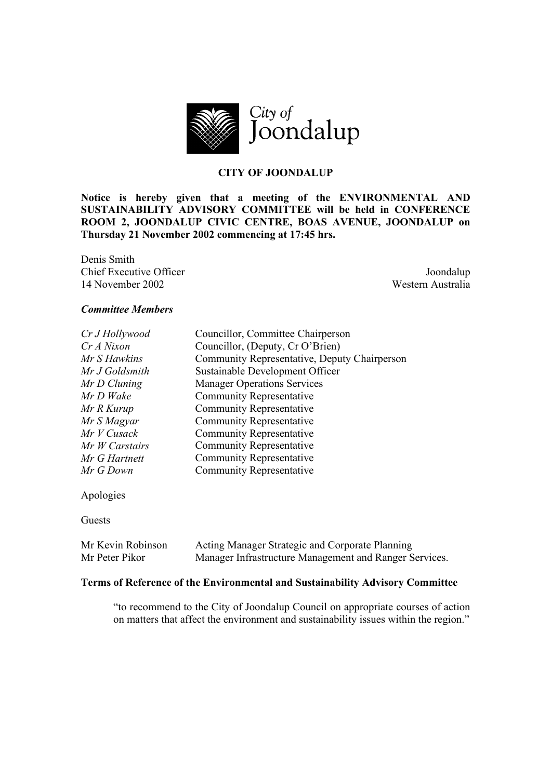

# **CITY OF JOONDALUP**

**Notice is hereby given that a meeting of the ENVIRONMENTAL AND SUSTAINABILITY ADVISORY COMMITTEE will be held in CONFERENCE ROOM 2, JOONDALUP CIVIC CENTRE, BOAS AVENUE, JOONDALUP on Thursday 21 November 2002 commencing at 17:45 hrs.** 

Denis Smith **Chief Executive Officer** Joondalup 14 November 2002 Western Australia

#### *Committee Members*

| Councillor, Committee Chairperson            |
|----------------------------------------------|
| Councillor, (Deputy, Cr O'Brien)             |
| Community Representative, Deputy Chairperson |
| Sustainable Development Officer              |
| <b>Manager Operations Services</b>           |
| <b>Community Representative</b>              |
| Community Representative                     |
| <b>Community Representative</b>              |
| <b>Community Representative</b>              |
| <b>Community Representative</b>              |
| <b>Community Representative</b>              |
| <b>Community Representative</b>              |
|                                              |

Apologies

Guests

| Mr Kevin Robinson | Acting Manager Strategic and Corporate Planning        |
|-------------------|--------------------------------------------------------|
| Mr Peter Pikor    | Manager Infrastructure Management and Ranger Services. |

#### **Terms of Reference of the Environmental and Sustainability Advisory Committee**

"to recommend to the City of Joondalup Council on appropriate courses of action on matters that affect the environment and sustainability issues within the region."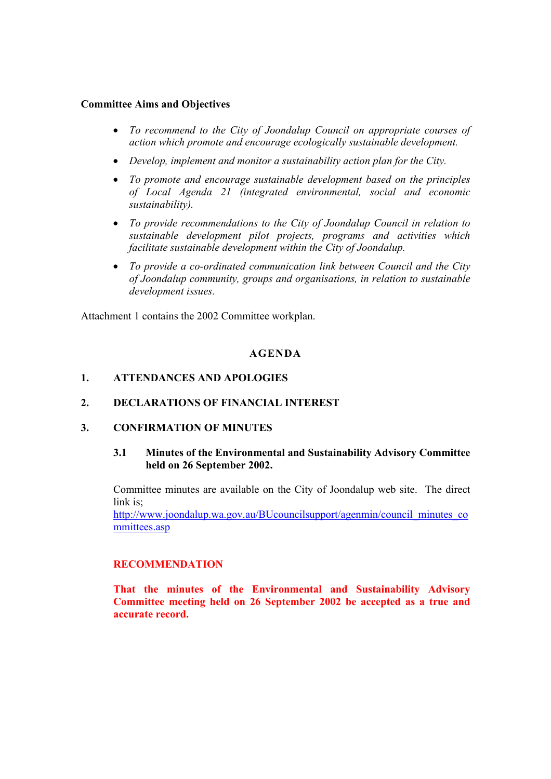## **Committee Aims and Objectives**

- *To recommend to the City of Joondalup Council on appropriate courses of action which promote and encourage ecologically sustainable development.*
- *Develop, implement and monitor a sustainability action plan for the City.*
- *To promote and encourage sustainable development based on the principles of Local Agenda 21 (integrated environmental, social and economic sustainability).*
- *To provide recommendations to the City of Joondalup Council in relation to sustainable development pilot projects, programs and activities which facilitate sustainable development within the City of Joondalup.*
- *To provide a co-ordinated communication link between Council and the City of Joondalup community, groups and organisations, in relation to sustainable development issues.*

Attachment 1 contains the 2002 Committee workplan.

## **AGENDA**

## **1. ATTENDANCES AND APOLOGIES**

## **2. DECLARATIONS OF FINANCIAL INTEREST**

## **3. CONFIRMATION OF MINUTES**

#### **3.1 Minutes of the Environmental and Sustainability Advisory Committee held on 26 September 2002.**

Committee minutes are available on the City of Joondalup web site. The direct link is;

http://www.joondalup.wa.gov.au/BUcouncilsupport/agenmin/council\_minutes\_co mmittees.asp

## **RECOMMENDATION**

**That the minutes of the Environmental and Sustainability Advisory Committee meeting held on 26 September 2002 be accepted as a true and accurate record.**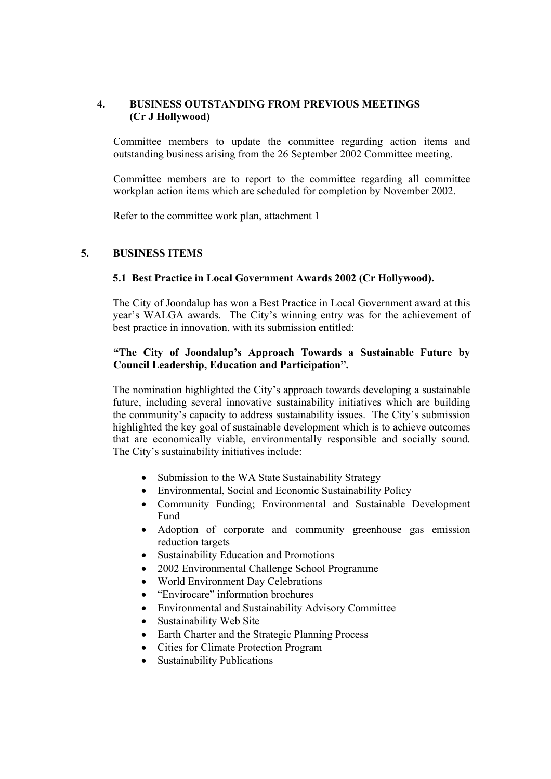# **4. BUSINESS OUTSTANDING FROM PREVIOUS MEETINGS (Cr J Hollywood)**

Committee members to update the committee regarding action items and outstanding business arising from the 26 September 2002 Committee meeting.

Committee members are to report to the committee regarding all committee workplan action items which are scheduled for completion by November 2002.

Refer to the committee work plan, attachment 1

# **5. BUSINESS ITEMS**

## **5.1 Best Practice in Local Government Awards 2002 (Cr Hollywood).**

The City of Joondalup has won a Best Practice in Local Government award at this year's WALGA awards. The City's winning entry was for the achievement of best practice in innovation, with its submission entitled:

# **"The City of Joondalup's Approach Towards a Sustainable Future by Council Leadership, Education and Participation".**

The nomination highlighted the City's approach towards developing a sustainable future, including several innovative sustainability initiatives which are building the community's capacity to address sustainability issues. The City's submission highlighted the key goal of sustainable development which is to achieve outcomes that are economically viable, environmentally responsible and socially sound. The City's sustainability initiatives include:

- Submission to the WA State Sustainability Strategy
- Environmental, Social and Economic Sustainability Policy
- Community Funding; Environmental and Sustainable Development Fund
- Adoption of corporate and community greenhouse gas emission reduction targets
- Sustainability Education and Promotions
- 2002 Environmental Challenge School Programme
- World Environment Day Celebrations
- "Envirocare" information brochures
- Environmental and Sustainability Advisory Committee
- Sustainability Web Site
- Earth Charter and the Strategic Planning Process
- Cities for Climate Protection Program
- Sustainability Publications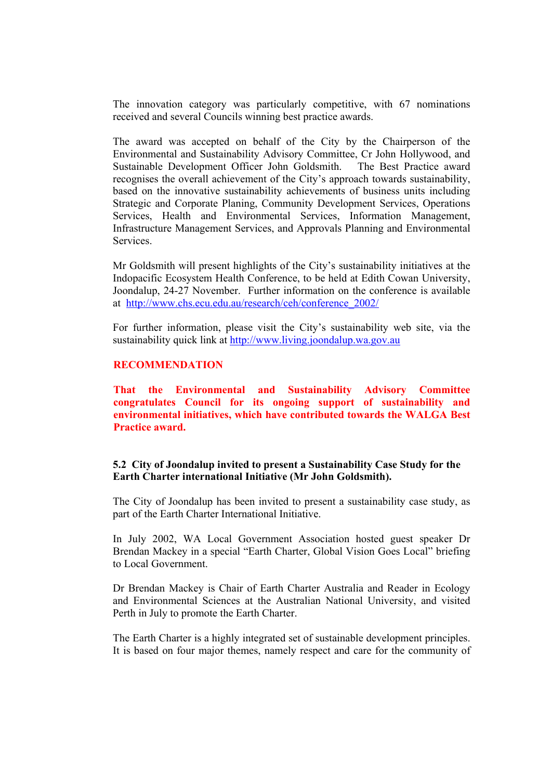The innovation category was particularly competitive, with 67 nominations received and several Councils winning best practice awards.

The award was accepted on behalf of the City by the Chairperson of the Environmental and Sustainability Advisory Committee, Cr John Hollywood, and Sustainable Development Officer John Goldsmith. The Best Practice award recognises the overall achievement of the City's approach towards sustainability, based on the innovative sustainability achievements of business units including Strategic and Corporate Planing, Community Development Services, Operations Services, Health and Environmental Services, Information Management, Infrastructure Management Services, and Approvals Planning and Environmental **Services** 

Mr Goldsmith will present highlights of the City's sustainability initiatives at the Indopacific Ecosystem Health Conference, to be held at Edith Cowan University, Joondalup, 24-27 November. Further information on the conference is available at http://www.chs.ecu.edu.au/research/ceh/conference\_2002/

For further information, please visit the City's sustainability web site, via the sustainability quick link at http://www.living.joondalup.wa.gov.au

#### **RECOMMENDATION**

**That the Environmental and Sustainability Advisory Committee congratulates Council for its ongoing support of sustainability and environmental initiatives, which have contributed towards the WALGA Best Practice award.** 

#### **5.2 City of Joondalup invited to present a Sustainability Case Study for the Earth Charter international Initiative (Mr John Goldsmith).**

The City of Joondalup has been invited to present a sustainability case study, as part of the Earth Charter International Initiative.

In July 2002, WA Local Government Association hosted guest speaker Dr Brendan Mackey in a special "Earth Charter, Global Vision Goes Local" briefing to Local Government.

Dr Brendan Mackey is Chair of Earth Charter Australia and Reader in Ecology and Environmental Sciences at the Australian National University, and visited Perth in July to promote the Earth Charter.

The Earth Charter is a highly integrated set of sustainable development principles. It is based on four major themes, namely respect and care for the community of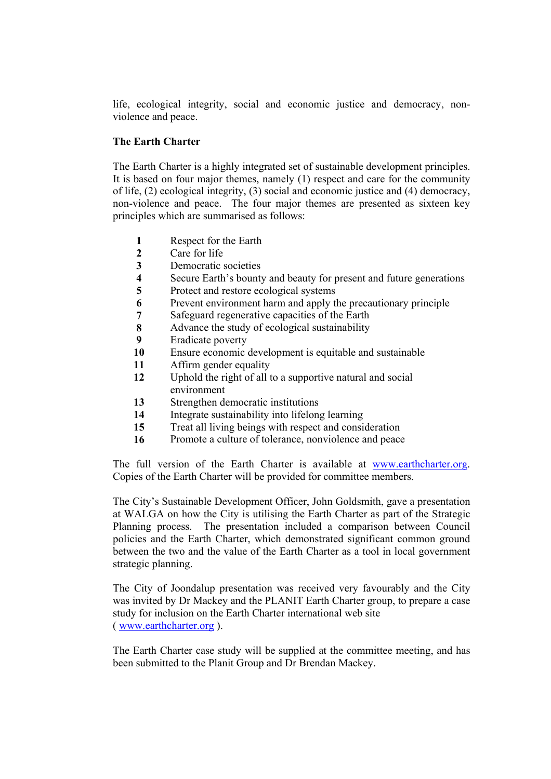life, ecological integrity, social and economic justice and democracy, nonviolence and peace.

## **The Earth Charter**

The Earth Charter is a highly integrated set of sustainable development principles. It is based on four major themes, namely (1) respect and care for the community of life, (2) ecological integrity, (3) social and economic justice and (4) democracy, non-violence and peace. The four major themes are presented as sixteen key principles which are summarised as follows:

- **1** Respect for the Earth
- **2** Care for life
- **3** Democratic societies
- **4** Secure Earth's bounty and beauty for present and future generations
- **5** Protect and restore ecological systems
- **6** Prevent environment harm and apply the precautionary principle
- **7** Safeguard regenerative capacities of the Earth
- **8** Advance the study of ecological sustainability
- **9** Eradicate poverty
- **10** Ensure economic development is equitable and sustainable
- **11** Affirm gender equality
- **12** Uphold the right of all to a supportive natural and social environment
- **13** Strengthen democratic institutions
- **14** Integrate sustainability into lifelong learning
- **15** Treat all living beings with respect and consideration
- **16** Promote a culture of tolerance, nonviolence and peace

The full version of the Earth Charter is available at www.earthcharter.org. Copies of the Earth Charter will be provided for committee members.

The City's Sustainable Development Officer, John Goldsmith, gave a presentation at WALGA on how the City is utilising the Earth Charter as part of the Strategic Planning process. The presentation included a comparison between Council policies and the Earth Charter, which demonstrated significant common ground between the two and the value of the Earth Charter as a tool in local government strategic planning.

The City of Joondalup presentation was received very favourably and the City was invited by Dr Mackey and the PLANIT Earth Charter group, to prepare a case study for inclusion on the Earth Charter international web site ( www.earthcharter.org ).

The Earth Charter case study will be supplied at the committee meeting, and has been submitted to the Planit Group and Dr Brendan Mackey.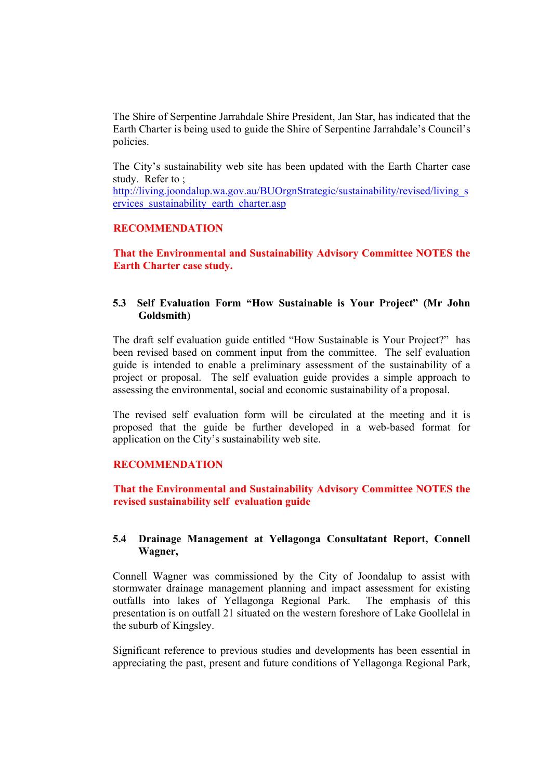The Shire of Serpentine Jarrahdale Shire President, Jan Star, has indicated that the Earth Charter is being used to guide the Shire of Serpentine Jarrahdale's Council's policies.

The City's sustainability web site has been updated with the Earth Charter case study. Refer to ;

http://living.joondalup.wa.gov.au/BUOrgnStrategic/sustainability/revised/living\_s ervices sustainability earth charter.asp

## **RECOMMENDATION**

**That the Environmental and Sustainability Advisory Committee NOTES the Earth Charter case study.** 

## **5.3 Self Evaluation Form "How Sustainable is Your Project" (Mr John Goldsmith)**

The draft self evaluation guide entitled "How Sustainable is Your Project?" has been revised based on comment input from the committee. The self evaluation guide is intended to enable a preliminary assessment of the sustainability of a project or proposal. The self evaluation guide provides a simple approach to assessing the environmental, social and economic sustainability of a proposal.

The revised self evaluation form will be circulated at the meeting and it is proposed that the guide be further developed in a web-based format for application on the City's sustainability web site.

#### **RECOMMENDATION**

**That the Environmental and Sustainability Advisory Committee NOTES the revised sustainability self evaluation guide** 

#### **5.4 Drainage Management at Yellagonga Consultatant Report, Connell Wagner,**

Connell Wagner was commissioned by the City of Joondalup to assist with stormwater drainage management planning and impact assessment for existing outfalls into lakes of Yellagonga Regional Park. The emphasis of this presentation is on outfall 21 situated on the western foreshore of Lake Goollelal in the suburb of Kingsley.

Significant reference to previous studies and developments has been essential in appreciating the past, present and future conditions of Yellagonga Regional Park,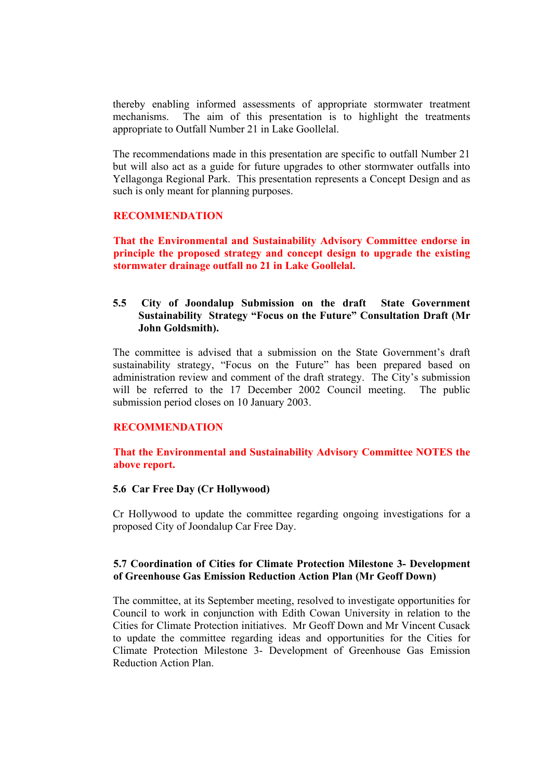thereby enabling informed assessments of appropriate stormwater treatment mechanisms. The aim of this presentation is to highlight the treatments appropriate to Outfall Number 21 in Lake Goollelal.

The recommendations made in this presentation are specific to outfall Number 21 but will also act as a guide for future upgrades to other stormwater outfalls into Yellagonga Regional Park. This presentation represents a Concept Design and as such is only meant for planning purposes.

## **RECOMMENDATION**

**That the Environmental and Sustainability Advisory Committee endorse in principle the proposed strategy and concept design to upgrade the existing stormwater drainage outfall no 21 in Lake Goollelal.** 

## **5.5 City of Joondalup Submission on the draft State Government Sustainability Strategy "Focus on the Future" Consultation Draft (Mr John Goldsmith).**

The committee is advised that a submission on the State Government's draft sustainability strategy, "Focus on the Future" has been prepared based on administration review and comment of the draft strategy. The City's submission will be referred to the 17 December 2002 Council meeting. The public submission period closes on 10 January 2003.

#### **RECOMMENDATION**

**That the Environmental and Sustainability Advisory Committee NOTES the above report.** 

#### **5.6 Car Free Day (Cr Hollywood)**

Cr Hollywood to update the committee regarding ongoing investigations for a proposed City of Joondalup Car Free Day.

#### **5.7 Coordination of Cities for Climate Protection Milestone 3- Development of Greenhouse Gas Emission Reduction Action Plan (Mr Geoff Down)**

The committee, at its September meeting, resolved to investigate opportunities for Council to work in conjunction with Edith Cowan University in relation to the Cities for Climate Protection initiatives. Mr Geoff Down and Mr Vincent Cusack to update the committee regarding ideas and opportunities for the Cities for Climate Protection Milestone 3- Development of Greenhouse Gas Emission Reduction Action Plan.